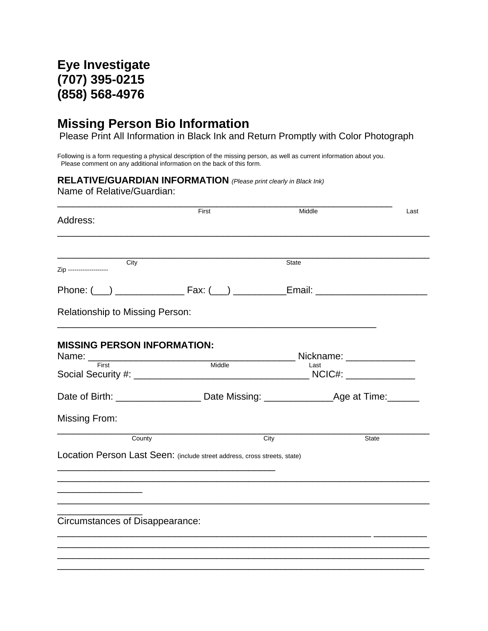## **Eye Investigate (707) 395-0215 (858) 568-4976**

## **Missing Person Bio Information**

Please Print All Information in Black Ink and Return Promptly with Color Photograph

Following is a form requesting a physical description of the missing person, as well as current information about you. Please comment on any additional information on the back of this form.

## **RELATIVE/GUARDIAN INFORMATION** *(Please print clearly in Black Ink)*

Name of Relative/Guardian:

| Address:                                                                                      | First  | Middle                    | Last         |
|-----------------------------------------------------------------------------------------------|--------|---------------------------|--------------|
| City<br>Zip --------------------                                                              |        | State                     |              |
|                                                                                               |        |                           |              |
| <b>Relationship to Missing Person:</b>                                                        |        |                           |              |
| <b>MISSING PERSON INFORMATION:</b>                                                            |        | Nickname: _______________ |              |
| Name: First                                                                                   | Middle | Last                      |              |
| Date of Birth: ______________________Date Missing: ______________________Age at Time:________ |        |                           |              |
| Missing From:                                                                                 |        |                           |              |
| County                                                                                        | City   |                           | <b>State</b> |
| Location Person Last Seen: (include street address, cross streets, state)                     |        |                           |              |
|                                                                                               |        |                           |              |
| Circumstances of Disappearance:                                                               |        |                           |              |
|                                                                                               |        |                           |              |